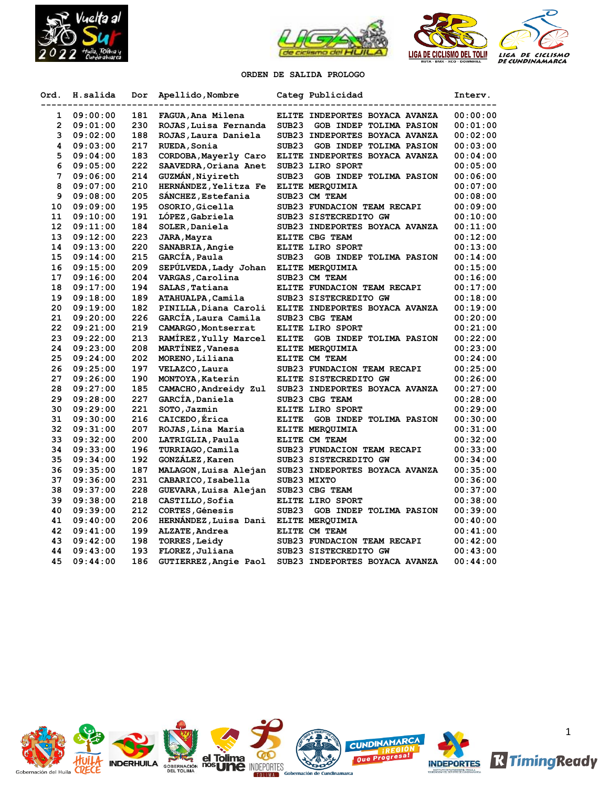





**ORDEN DE SALIDA PROLOGO**

| Ord.              | H.salida | Dor | Apellido, Nombre        | Categ Publicidad                             | Interv.  |
|-------------------|----------|-----|-------------------------|----------------------------------------------|----------|
| 1                 | 09:00:00 | 181 | FAGUA, Ana Milena       | ELITE INDEPORTES BOYACA AVANZA               | 00:00:00 |
| $\overline{2}$    | 09:01:00 | 230 | ROJAS, Luisa Fernanda   | SUB <sub>23</sub><br>GOB INDEP TOLIMA PASION | 00:01:00 |
| 3                 | 09:02:00 | 188 | ROJAS, Laura Daniela    | SUB23 INDEPORTES BOYACA AVANZA               | 00:02:00 |
| 4                 | 09:03:00 | 217 | RUEDA, Sonia            | SUB <sub>23</sub><br>GOB INDEP TOLIMA PASION | 00:03:00 |
| 5                 | 09:04:00 | 183 | CORDOBA, Mayerly Caro   | ELITE INDEPORTES BOYACA AVANZA               | 00:04:00 |
| 6                 | 09:05:00 | 222 | SAAVEDRA, Oriana Anet   | SUB23 LIRO SPORT                             | 00:05:00 |
| 7                 | 09:06:00 | 214 | GUZMAN, Niyireth        | SUB <sub>23</sub><br>GOB INDEP TOLIMA PASION | 00:06:00 |
| 8                 | 09:07:00 | 210 | HERNÁNDEZ, Yelitza Fe   | ELITE MEROUIMIA                              | 00:07:00 |
| 9                 | 09:08:00 | 205 | SANCHEZ, Estefania      | SUB23 CM TEAM                                | 00:08:00 |
| 10                | 09:09:00 | 195 | OSORIO, Gicella         | SUB23 FUNDACION TEAM RECAPI                  | 00:09:00 |
| 11                | 09:10:00 | 191 | LOPEZ, Gabriela         | SUB23 SISTECREDITO GW                        | 00:10:00 |
| $12 \overline{ }$ | 09:11:00 | 184 | SOLER, Daniela          | SUB23 INDEPORTES BOYACA AVANZA               | 00:11:00 |
| 13                | 09:12:00 | 223 | JARA, Mayra             | ELITE CBG TEAM                               | 00:12:00 |
| 14                | 09:13:00 | 220 | SANABRIA, Angie         | ELITE LIRO SPORT                             | 00:13:00 |
| 15                | 09:14:00 | 215 | GARCÍA, Paula           | SUB <sub>23</sub><br>GOB INDEP TOLIMA PASION | 00:14:00 |
| 16                | 09:15:00 | 209 | SEPÚLVEDA, Lady Johan   | ELITE MERQUIMIA                              | 00:15:00 |
| 17                | 09:16:00 | 204 | VARGAS, Carolina        | SUB23 CM TEAM                                | 00:16:00 |
| 18                | 09:17:00 | 194 | SALAS, Tatiana          | ELITE FUNDACION TEAM RECAPI                  | 00:17:00 |
| 19                | 09:18:00 | 189 | ATAHUALPA, Camila       | SUB23 SISTECREDITO GW                        | 00:18:00 |
| 20                | 09:19:00 | 182 | PINILLA, Diana Caroli   | ELITE INDEPORTES BOYACA AVANZA               | 00:19:00 |
| 21                | 09:20:00 | 226 | GARCIA, Laura Camila    | SUB23 CBG TEAM                               | 00:20:00 |
| 22                | 09:21:00 | 219 | CAMARGO, Montserrat     | ELITE LIRO SPORT                             | 00:21:00 |
| 23                | 09:22:00 | 213 | RAMÍREZ, Yully Marcel   | <b>ELITE</b><br>GOB INDEP TOLIMA PASION      | 00:22:00 |
| 24                | 09:23:00 | 208 | MARTÍNEZ, Vanesa        | ELITE MERQUIMIA                              | 00:23:00 |
| 25                | 09:24:00 | 202 | MORENO, Liliana         | ELITE CM TEAM                                | 00:24:00 |
| 26                | 09:25:00 | 197 | VELAZCO, Laura          | SUB23 FUNDACION TEAM RECAPI                  | 00:25:00 |
| 27                | 09:26:00 | 190 | MONTOYA, Katerin        | ELITE SISTECREDITO GW                        | 00:26:00 |
| 28                | 09:27:00 | 185 | CAMACHO, Andreidy Zul   | SUB23 INDEPORTES BOYACA AVANZA               | 00:27:00 |
| 29                | 09:28:00 | 227 | GARCÍA, Daniela         | SUB23 CBG TEAM                               | 00:28:00 |
| 30                | 09:29:00 | 221 | SOTO, Jazmin            | ELITE LIRO SPORT                             | 00:29:00 |
| 31                | 09:30:00 | 216 | CAICEDO, Érica          | <b>ELITE</b><br>GOB INDEP TOLIMA PASION      | 00:30:00 |
| 32                | 09:31:00 | 207 | ROJAS, Lina María       | ELITE MEROUIMIA                              | 00:31:00 |
| 33                | 09:32:00 | 200 | LATRIGLIA, Paula        | ELITE CM TEAM                                | 00:32:00 |
| 34                | 09:33:00 | 196 | <b>TURRIAGO, Camila</b> | SUB23 FUNDACION TEAM RECAPI                  | 00:33:00 |
| 35                | 09:34:00 | 192 | GONZÁLEZ, Karen         | SUB23 SISTECREDITO GW                        | 00:34:00 |
| 36                | 09:35:00 | 187 | MALAGON, Luisa Alejan   | SUB23 INDEPORTES BOYACA AVANZA               | 00:35:00 |
| 37                | 09:36:00 | 231 | CABARICO, Isabella      | SUB23 MIXTO                                  | 00:36:00 |
| 38                | 09:37:00 | 228 | GUEVARA, Luisa Alejan   | SUB23 CBG TEAM                               | 00:37:00 |
| 39                | 09:38:00 | 218 | CASTILLO, Sofia         | ELITE LIRO SPORT                             | 00:38:00 |
| 40                | 09:39:00 | 212 | CORTES, Génesis         | SUB <sub>23</sub><br>GOB INDEP TOLIMA PASION | 00:39:00 |
| 41                | 09:40:00 | 206 | HERNANDEZ, Luisa Dani   | ELITE MERQUIMIA                              | 00:40:00 |
| 42                | 09:41:00 | 199 | ALZATE, Andrea          | ELITE CM TEAM                                | 00:41:00 |
| 43                | 09:42:00 | 198 | <b>TORRES, Leidy</b>    | SUB23 FUNDACION TEAM RECAPI                  | 00:42:00 |
| 44                | 09:43:00 | 193 | FLOREZ, Juliana         | SUB23 SISTECREDITO GW                        | 00:43:00 |
| 45                | 09:44:00 | 186 | GUTIERREZ, Angie Paol   | SUB23 INDEPORTES BOYACA AVANZA               | 00:44:00 |

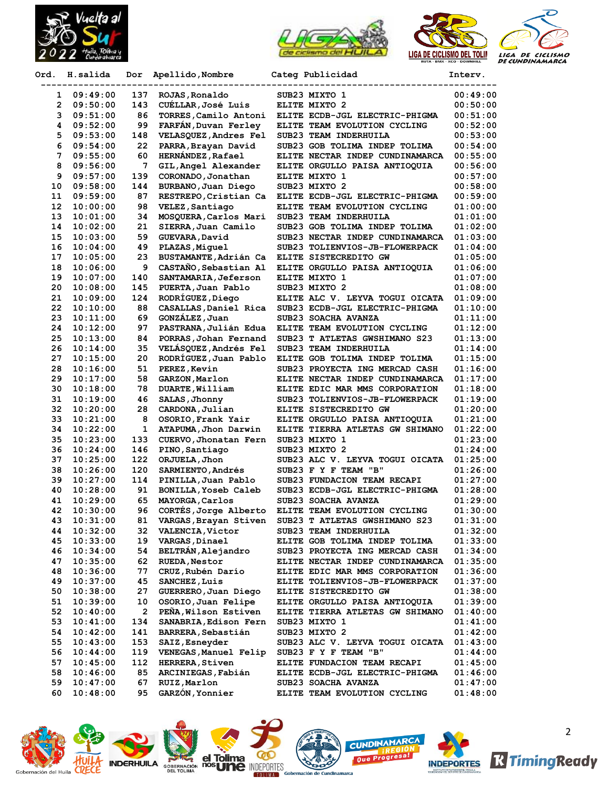



| Ord.     | H.salida             | Dor          | Apellido, Nombre                               | Categ Publicidad                                              | Interv.              |
|----------|----------------------|--------------|------------------------------------------------|---------------------------------------------------------------|----------------------|
| 1.       | 09:49:00             | 137          | ROJAS, Ronaldo                                 | SUB23 MIXTO 1                                                 | 00:49:00             |
| 2        | 09:50:00             | 143          | CUÉLLAR, José Luis                             | ELITE MIXTO 2                                                 | 00:50:00             |
| з        | 09:51:00             | 86           | TORRES, Camilo Antoni                          | ELITE ECDB-JGL ELECTRIC-PHIGMA                                | 00:51:00             |
| 4        | 09:52:00             | 99           | FARFAN, Duvan Ferley                           | ELITE TEAM EVOLUTION CYCLING                                  | 00:52:00             |
| 5        | 09:53:00             | 148          | VELASQUEZ, Andres Fel                          | SUB23 TEAM INDERHUILA                                         | 00:53:00             |
| 6        | 09:54:00             | 22           | PARRA, Brayan David                            | SUB23 GOB TOLIMA INDEP TOLIMA                                 | 00:54:00             |
| 7        | 09:55:00             | 60           | HERNÁNDEZ, Rafael                              | ELITE NECTAR INDEP CUNDINAMARCA                               | 00:55:00             |
| 8        | 09:56:00             | 7            | GIL, Angel Alexander                           | ELITE ORGULLO PAISA ANTIOQUIA                                 | 00:56:00             |
| 9        | 09:57:00             | 139          | CORONADO, Jonathan                             | ELITE MIXTO 1                                                 | 00:57:00             |
| 10       | 09:58:00             | 144          | BURBANO, Juan Diego                            | SUB23 MIXTO 2                                                 | 00:58:00             |
| 11       | 09:59:00             | 87           | RESTREPO, Cristian Ca                          | ELITE ECDB-JGL ELECTRIC-PHIGMA                                | 00:59:00             |
| 12       | 10:00:00             | 98           | VELEZ, Santiago                                | ELITE TEAM EVOLUTION CYCLING                                  | 01:00:00             |
| 13       | 10:01:00             | 34           | MOSQUERA, Carlos Mari                          | SUB23 TEAM INDERHUILA                                         | 01:01:00             |
| 14       | 10:02:00             | 21           | SIERRA, Juan Camilo                            | SUB23 GOB TOLIMA INDEP TOLIMA                                 | 01:02:00             |
| 15       | 10:03:00             | 59           | GUEVARA, David                                 | SUB23 NECTAR INDEP CUNDINAMARCA                               | 01:03:00             |
| 16       | 10:04:00             | 49           | PLAZAS, Miquel                                 | SUB23 TOLIENVIOS-JB-FLOWERPACK                                | 01:04:00             |
| 17       | 10:05:00             | 23           | BUSTAMANTE, Adrián Ca                          | ELITE SISTECREDITO GW                                         | 01:05:00             |
| 18       | 10:06:00             | 9            | CASTAÑO, Sebastian Al                          | ELITE ORGULLO PAISA ANTIOQUIA                                 | 01:06:00             |
| 19       | 10:07:00             | 140          | SANTAMARIA, Jeferson                           | ELITE MIXTO 1                                                 | 01:07:00             |
| 20       | 10:08:00             | 145          | PUERTA, Juan Pablo                             | SUB23 MIXTO 2                                                 | 01:08:00             |
| 21       | 10:09:00             | 124          | RODRÍGUEZ, Diego                               | ELITE ALC V. LEYVA TOGUI OICATA                               | 01:09:00             |
| 22       | 10:10:00             | 88           | CASALLAS, Daniel Rica                          | SUB23 ECDB-JGL ELECTRIC-PHIGMA                                | 01:10:00             |
| 23       | 10:11:00             | 69           | GONZÁLEZ, Juan                                 | SUB23 SOACHA AVANZA                                           | 01:11:00             |
| 24       | 10:12:00             | 97           | PASTRANA, Julián Edua                          | ELITE TEAM EVOLUTION CYCLING                                  | 01:12:00             |
| 25       | 10:13:00             | 84           | PORRAS, Johan Fernand                          | SUB23 T ATLETAS GWSHIMANO S23                                 | 01:13:00             |
| 26<br>27 | 10:14:00<br>10:15:00 | 35<br>20     | VELÁSQUEZ, Andrés Fel<br>RODRÍGUEZ, Juan Pablo | SUB23 TEAM INDERHUILA<br>ELITE GOB TOLIMA INDEP TOLIMA        | 01:14:00<br>01:15:00 |
| 28       | 10:16:00             | 51           | PEREZ, Kevin                                   | SUB23 PROYECTA ING MERCAD CASH                                | 01:16:00             |
| 29       | 10:17:00             | 58           | GARZON, Marlon                                 | ELITE NECTAR INDEP CUNDINAMARCA                               | 01:17:00             |
| 30       | 10:18:00             | 78           | DUARTE, William                                | ELITE EDIC MAR MMS CORPORATION                                | 01:18:00             |
| 31       | 10:19:00             | 46           | SALAS, Jhonny                                  | SUB23 TOLIENVIOS-JB-FLOWERPACK                                | 01:19:00             |
| 32       | 10:20:00             | 28           | CARDONA, Julian                                | ELITE SISTECREDITO GW                                         | 01:20:00             |
| 33       | 10:21:00             | 8            | OSORIO, Frank Yair                             | ELITE ORGULLO PAISA ANTIOQUIA                                 | 01:21:00             |
| 34       | 10:22:00             | 1            | ATAPUMA, Jhon Darwin                           | ELITE TIERRA ATLETAS GW SHIMANO                               | 01:22:00             |
| 35       | 10:23:00             | 133          | CUERVO, Jhonatan Fern                          | SUB23 MIXTO 1                                                 | 01:23:00             |
| 36       | 10:24:00             | 146          | PINO, Santiago                                 | SUB23 MIXTO 2                                                 | 01:24:00             |
| 37       | 10:25:00             | 122          | ORJUELA, Jhon                                  | SUB23 ALC V. LEYVA TOGUI OICATA                               | 01:25:00             |
| 38       | 10:26:00             | 120          | SARMIENTO, Andrés                              | SUB23 F Y F TEAM "B"                                          | 01:26:00             |
| 39       | 10:27:00             | 114          | PINILLA, Juan Pablo                            | SUB23 FUNDACION TEAM RECAPI                                   | 01:27:00             |
| 40       | 10:28:00             | 91           | BONILLA, Yoseb Caleb                           | SUB23 ECDB-JGL ELECTRIC-PHIGMA                                | 01:28:00             |
| 41       | 10:29:00             | 65           | MAYORGA, Carlos                                | SUB23 SOACHA AVANZA                                           | 01:29:00             |
| 42       | 10:30:00             | 96           | CORTÉS, Jorge Alberto                          | ELITE TEAM EVOLUTION CYCLING                                  | 01:30:00             |
| 43       | 10:31:00             | 81           | VARGAS, Brayan Stiven                          | SUB23 T ATLETAS GWSHIMANO S23                                 | 01:31:00             |
| 44       | 10:32:00             | 32           | <b>VALENCIA, Victor</b>                        | SUB23 TEAM INDERHUILA                                         | 01:32:00             |
| 45       | 10:33:00             | 19           | VARGAS, Dinael                                 | ELITE GOB TOLIMA INDEP TOLIMA                                 | 01:33:00             |
| 46       | 10:34:00             | 54           | BELTRÁN, Alejandro                             | SUB23 PROYECTA ING MERCAD CASH                                | 01:34:00             |
| 47       | 10:35:00             | 62           | <b>RUEDA, Nestor</b>                           | ELITE NECTAR INDEP CUNDINAMARCA                               | 01:35:00             |
| 48       | 10:36:00             | 77           | CRUZ, Rubén Darío                              | ELITE EDIC MAR MMS CORPORATION                                | 01:36:00             |
| 49       | 10:37:00             | 45           | SANCHEZ, Luis                                  | ELITE TOLIENVIOS-JB-FLOWERPACK                                | 01:37:00             |
| 50       | 10:38:00             | 27           | GUERRERO, Juan Diego                           | ELITE SISTECREDITO GW                                         | 01:38:00             |
| 51       | 10:39:00             | 10           | OSORIO, Juan Felipe                            | ELITE ORGULLO PAISA ANTIOQUIA                                 | 01:39:00             |
| 52       | 10:40:00             | $\mathbf{2}$ | PEÑA, Wilson Estiven                           | ELITE TIERRA ATLETAS GW SHIMANO                               | 01:40:00             |
| 53       | 10:41:00             | 134          | SANABRIA, Edison Fern                          | SUB23 MIXTO 1                                                 | 01:41:00             |
| 54       | 10:42:00             | 141          | <b>BARRERA, Sebastián</b>                      | SUB23 MIXTO 2                                                 | 01:42:00             |
| 55       | 10:43:00             | 153          | SAIZ, Esneyder                                 | SUB23 ALC V. LEYVA TOGUI OICATA                               | 01:43:00             |
| 56       | 10:44:00             | 119          | VENEGAS, Manuel Felip                          | SUB23 F Y F TEAM "B"                                          | 01:44:00             |
| 57<br>58 | 10:45:00<br>10:46:00 | 112<br>85    | <b>HERRERA, Stiven</b><br>ARCINIEGAS, Fabián   | ELITE FUNDACION TEAM RECAPI<br>ELITE ECDB-JGL ELECTRIC-PHIGMA | 01:45:00<br>01:46:00 |
| 59       | 10:47:00             | 67           | RUIZ, Marlon                                   | SUB23 SOACHA AVANZA                                           | 01:47:00             |
| 60       | 10:48:00             | 95           | GARZÓN, Yonnier                                | ELITE TEAM EVOLUTION CYCLING                                  | 01:48:00             |
|          |                      |              |                                                |                                                               |                      |















2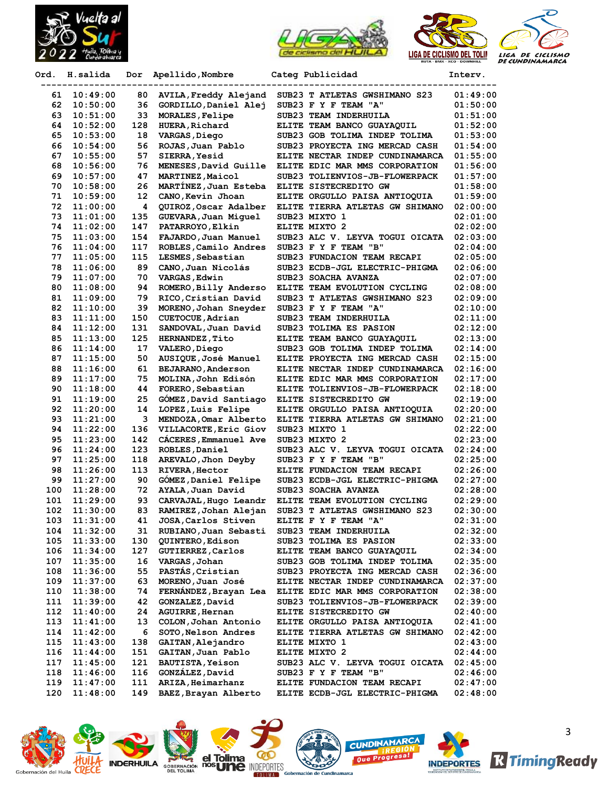





| Ord. | H.salida | Dor | Apellido, Nombre         | Categ Publicidad                | Interv.  |
|------|----------|-----|--------------------------|---------------------------------|----------|
| 61   | 10:49:00 | 80  | AVILA, Freddy Alejand    | SUB23 T ATLETAS GWSHIMANO S23   | 01:49:00 |
| 62   | 10:50:00 | 36  | GORDILLO, Daniel Alej    | SUB23 F Y F TEAM "A"            | 01:50:00 |
| 63   | 10:51:00 | 33  | MORALES, Felipe          | SUB23 TEAM INDERHUILA           | 01:51:00 |
| 64   | 10:52:00 | 128 | <b>HUERA, Richard</b>    | ELITE TEAM BANCO GUAYAQUIL      | 01:52:00 |
| 65   | 10:53:00 | 18  | VARGAS, Diego            | SUB23 GOB TOLIMA INDEP TOLIMA   | 01:53:00 |
| 66   | 10:54:00 | 56  | ROJAS, Juan Pablo        | SUB23 PROYECTA ING MERCAD CASH  | 01:54:00 |
| 67   | 10:55:00 | 57  | <b>SIERRA, Yesid</b>     | ELITE NECTAR INDEP CUNDINAMARCA | 01:55:00 |
| 68   | 10:56:00 | 76  | MENESES, David Guille    | ELITE EDIC MAR MMS CORPORATION  | 01:56:00 |
| 69   | 10:57:00 | 47  | MARTINEZ, Maicol         | SUB23 TOLIENVIOS-JB-FLOWERPACK  | 01:57:00 |
| 70   | 10:58:00 | 26  | MARTINEZ, Juan Esteba    | ELITE SISTECREDITO GW           | 01:58:00 |
| 71   | 10:59:00 | 12  | CANO, Kevin Jhoan        | ELITE ORGULLO PAISA ANTIOQUIA   | 01:59:00 |
| 72   | 11:00:00 | 4   | QUIROZ, Oscar Adalber    | ELITE TIERRA ATLETAS GW SHIMANO | 02:00:00 |
| 73   | 11:01:00 | 135 | GUEVARA, Juan Miguel     | SUB23 MIXTO 1                   | 02:01:00 |
| 74   | 11:02:00 | 147 | PATARROYO, Elkin         | ELITE MIXTO 2                   | 02:02:00 |
| 75   | 11:03:00 | 154 | FAJARDO, Juan Manuel     | SUB23 ALC V. LEYVA TOGUI OICATA | 02:03:00 |
| 76   | 11:04:00 | 117 | ROBLES, Camilo Andres    | SUB23 F Y F TEAM "B"            | 02:04:00 |
| 77   | 11:05:00 | 115 | LESMES, Sebastian        | SUB23 FUNDACION TEAM RECAPI     | 02:05:00 |
| 78   | 11:06:00 | 89  | CANO, Juan Nicolás       | SUB23 ECDB-JGL ELECTRIC-PHIGMA  | 02:06:00 |
| 79   | 11:07:00 | 70  | VARGAS, Edwin            | SUB23 SOACHA AVANZA             | 02:07:00 |
| 80   | 11:08:00 | 94  | ROMERO, Billy Anderso    | ELITE TEAM EVOLUTION CYCLING    | 02:08:00 |
| 81   | 11:09:00 | 79  | RICO, Cristian David     | SUB23 T ATLETAS GWSHIMANO S23   | 02:09:00 |
| 82   | 11:10:00 | 39  | MORENO, Johan Sneyder    | SUB23 F Y F TEAM "A"            | 02:10:00 |
| 83   | 11:11:00 | 150 | CUETOCUE, Adrian         | SUB23 TEAM INDERHUILA           | 02:11:00 |
| 84   | 11:12:00 | 131 | SANDOVAL, Juan David     | SUB23 TOLIMA ES PASION          | 02:12:00 |
| 85   | 11:13:00 | 125 | <b>HERNANDEZ, Tito</b>   | ELITE TEAM BANCO GUAYAQUIL      | 02:13:00 |
| 86   | 11:14:00 | 17  | VALERO, Diego            | SUB23 GOB TOLIMA INDEP TOLIMA   | 02:14:00 |
| 87   | 11:15:00 | 50  | AUSIQUE, José Manuel     | ELITE PROYECTA ING MERCAD CASH  | 02:15:00 |
| 88   | 11:16:00 | 61  | BEJARANO, Anderson       | ELITE NECTAR INDEP CUNDINAMARCA | 02:16:00 |
| 89   | 11:17:00 | 75  | MOLINA, John Edisón      | ELITE EDIC MAR MMS CORPORATION  | 02:17:00 |
| 90   | 11:18:00 | 44  | FORERO, Sebastian        | ELITE TOLIENVIOS-JB-FLOWERPACK  | 02:18:00 |
| 91   | 11:19:00 | 25  | GOMEZ, David Santiago    | ELITE SISTECREDITO GW           | 02:19:00 |
| 92   | 11:20:00 | 14  | LOPEZ, Luis Felipe       | ELITE ORGULLO PAISA ANTIOQUIA   | 02:20:00 |
| 93   | 11:21:00 | 3   | MENDOZA, Omar Alberto    | ELITE TIERRA ATLETAS GW SHIMANO | 02:21:00 |
| 94   | 11:22:00 | 136 | VILLACORTE, Eric Giov    | SUB23 MIXTO 1                   | 02:22:00 |
| 95   | 11:23:00 | 142 | CÁCERES, Emmanuel Ave    | SUB23 MIXTO 2                   | 02:23:00 |
| 96   | 11:24:00 | 123 | ROBLES, Daniel           | SUB23 ALC V. LEYVA TOGUI OICATA | 02:24:00 |
| 97   | 11:25:00 | 118 | AREVALO, Jhon Deyby      | SUB23 F Y F TEAM "B"            | 02:25:00 |
| 98   | 11:26:00 | 113 | <b>RIVERA, Hector</b>    | ELITE FUNDACION TEAM RECAPI     | 02:26:00 |
| 99   | 11:27:00 | 90  | GOMEZ, Daniel Felipe     | SUB23 ECDB-JGL ELECTRIC-PHIGMA  | 02:27:00 |
| 100  | 11:28:00 | 72  | AYALA, Juan David        | SUB23 SOACHA AVANZA             | 02:28:00 |
| 101  | 11:29:00 | 93  | CARVAJAL, Hugo Leandr    | ELITE TEAM EVOLUTION CYCLING    | 02:29:00 |
| 102  | 11:30:00 | 83  | RAMIREZ, Johan Alejan    | SUB23 T ATLETAS GWSHIMANO S23   | 02:30:00 |
| 103  | 11:31:00 | 41  | JOSA, Carlos Stiven      | ELITE F Y F TEAM "A"            | 02:31:00 |
| 104  | 11:32:00 | 31  | RUBIANO, Juan Sebasti    | SUB23 TEAM INDERHUILA           | 02:32:00 |
| 105  | 11:33:00 | 130 | QUINTERO, Edison         | SUB23 TOLIMA ES PASION          | 02:33:00 |
| 106  | 11:34:00 | 127 | <b>GUTIERREZ, Carlos</b> | ELITE TEAM BANCO GUAYAQUIL      | 02:34:00 |
| 107  | 11:35:00 | 16  | VARGAS, Johan            | SUB23 GOB TOLIMA INDEP TOLIMA   | 02:35:00 |
| 108  | 11:36:00 | 55  | PASTÁS, Cristian         | SUB23 PROYECTA ING MERCAD CASH  | 02:36:00 |
| 109  | 11:37:00 | 63  | MORENO, Juan José        | ELITE NECTAR INDEP CUNDINAMARCA | 02:37:00 |
| 110  | 11:38:00 | 74  | FERNÁNDEZ, Brayan Lea    | ELITE EDIC MAR MMS CORPORATION  | 02:38:00 |
| 111  | 11:39:00 | 42  | GONZALEZ, David          | SUB23 TOLIENVIOS-JB-FLOWERPACK  | 02:39:00 |
| 112  | 11:40:00 | 24  | AGUIRRE, Hernan          | ELITE SISTECREDITO GW           | 02:40:00 |
| 113  | 11:41:00 | 13  | COLON, Johan Antonio     | ELITE ORGULLO PAISA ANTIOQUIA   | 02:41:00 |
| 114  | 11:42:00 | 6   | SOTO, Nelson Andres      | ELITE TIERRA ATLETAS GW SHIMANO | 02:42:00 |
| 115  | 11:43:00 | 138 | GAITAN, Alejandro        | ELITE MIXTO 1                   | 02:43:00 |
| 116  | 11:44:00 | 151 | GAITAN, Juan Pablo       | ELITE MIXTO 2                   | 02:44:00 |
| 117  | 11:45:00 | 121 | <b>BAUTISTA, Yeison</b>  | SUB23 ALC V. LEYVA TOGUI OICATA | 02:45:00 |
| 118  | 11:46:00 | 116 | GONZÁLEZ, David          | SUB23 F Y F TEAM "B"            | 02:46:00 |
| 119  | 11:47:00 | 111 | ARIZA, Heimarhanz        | ELITE FUNDACION TEAM RECAPI     | 02:47:00 |
| 120  | 11:48:00 | 149 | BAEZ, Brayan Alberto     | ELITE ECDB-JGL ELECTRIC-PHIGMA  | 02:48:00 |